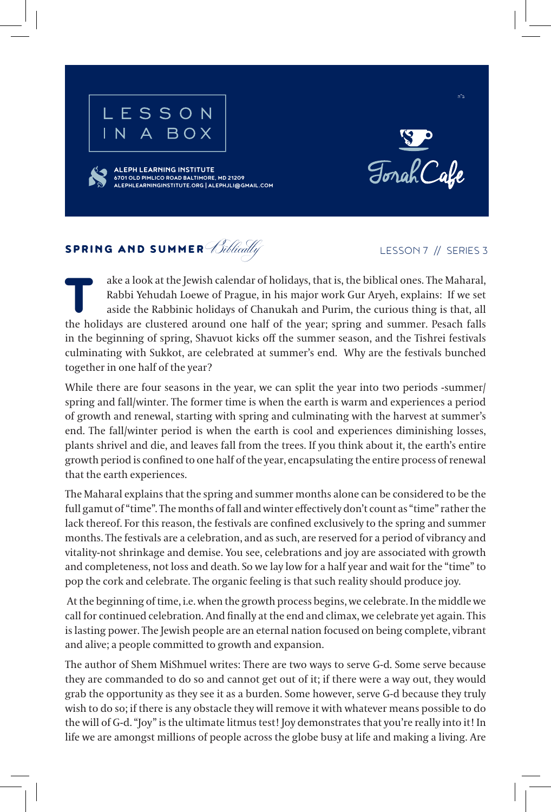



**ALEPH LEARNING INSTITUTE 6701 OLD PIMLICO ROAD BALTIMORE, MD 21209 ALEPHLEARNINGINSTITUTE.ORG | ALEPHJLI@GMAIL.COM**



ב"ה

## SPRING AND SUMMER Biblically

## LESSON 7 // SERIES 3

ake a look at the Jewish calendar of holidays, that is, the biblical ones. The Maharal, Rabbi Yehudah Loewe of Prague, in his major work Gur Aryeh, explains: If we set aside the Rabbinic holidays of Chanukah and Purim, the curious thing is that, all the holidays are clustered around one half of the year; spring and summer. Pesach falls in the beginning of spring, Shavuot kicks off the summer season, and the Tishrei festivals culminating with Sukkot, are celebrated at summer's end. Why are the festivals bunched together in one half of the year?

While there are four seasons in the year, we can split the year into two periods -summer/ spring and fall/winter. The former time is when the earth is warm and experiences a period of growth and renewal, starting with spring and culminating with the harvest at summer's end. The fall/winter period is when the earth is cool and experiences diminishing losses, plants shrivel and die, and leaves fall from the trees. If you think about it, the earth's entire growth period is confined to one half of the year, encapsulating the entire process of renewal that the earth experiences.

The Maharal explains that the spring and summer months alone can be considered to be the full gamut of "time". The months of fall and winter effectively don't count as "time" rather the lack thereof. For this reason, the festivals are confined exclusively to the spring and summer months. The festivals are a celebration, and as such, are reserved for a period of vibrancy and vitality-not shrinkage and demise. You see, celebrations and joy are associated with growth and completeness, not loss and death. So we lay low for a half year and wait for the "time" to pop the cork and celebrate. The organic feeling is that such reality should produce joy.

 At the beginning of time, i.e. when the growth process begins, we celebrate. In the middle we call for continued celebration. And finally at the end and climax, we celebrate yet again. This is lasting power. The Jewish people are an eternal nation focused on being complete, vibrant and alive; a people committed to growth and expansion.

The author of Shem MiShmuel writes: There are two ways to serve G-d. Some serve because they are commanded to do so and cannot get out of it; if there were a way out, they would grab the opportunity as they see it as a burden. Some however, serve G-d because they truly wish to do so; if there is any obstacle they will remove it with whatever means possible to do the will of G-d. "Joy" is the ultimate litmus test! Joy demonstrates that you're really into it! In life we are amongst millions of people across the globe busy at life and making a living. Are